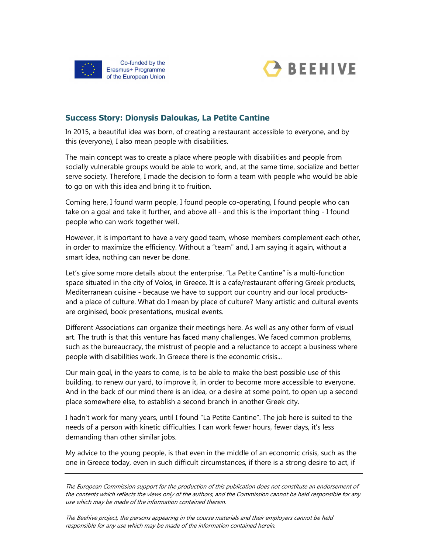



## Success Story: Dionysis Daloukas, La Petite Cantine

In 2015, a beautiful idea was born, of creating a restaurant accessible to everyone, and by this (everyone), I also mean people with disabilities.

The main concept was to create a place where people with disabilities and people from socially vulnerable groups would be able to work, and, at the same time, socialize and better serve society. Therefore, I made the decision to form a team with people who would be able to go on with this idea and bring it to fruition.

Coming here, I found warm people, I found people co-operating, I found people who can take on a goal and take it further, and above all - and this is the important thing - I found people who can work together well.

However, it is important to have a very good team, whose members complement each other, in order to maximize the efficiency. Without a "team" and, I am saying it again, without a smart idea, nothing can never be done.

Let's give some more details about the enterprise. "La Petite Cantine" is a multi-function space situated in the city of Volos, in Greece. It is a cafe/restaurant offering Greek products, Mediterranean cuisine - because we have to support our country and our local productsand a place of culture. What do I mean by place of culture? Many artistic and cultural events are orginised, book presentations, musical events.

Different Associations can organize their meetings here. As well as any other form of visual art. The truth is that this venture has faced many challenges. We faced common problems, such as the bureaucracy, the mistrust of people and a reluctance to accept a business where people with disabilities work. In Greece there is the economic crisis...

Our main goal, in the years to come, is to be able to make the best possible use of this building, to renew our yard, to improve it, in order to become more accessible to everyone. And in the back of our mind there is an idea, or a desire at some point, to open up a second place somewhere else, to establish a second branch in another Greek city.

I hadn't work for many years, until I found "La Petite Cantine". The job here is suited to the needs of a person with kinetic difficulties. I can work fewer hours, fewer days, it's less demanding than other similar jobs.

My advice to the young people, is that even in the middle of an economic crisis, such as the one in Greece today, even in such difficult circumstances, if there is a strong desire to act, if

The European Commission support for the production of this publication does not constitute an endorsement of the contents which reflects the views only of the authors, and the Commission cannot be held responsible for any use which may be made of the information contained therein.

The Beehive project, the persons appearing in the course materials and their employers cannot be held responsible for any use which may be made of the information contained herein.